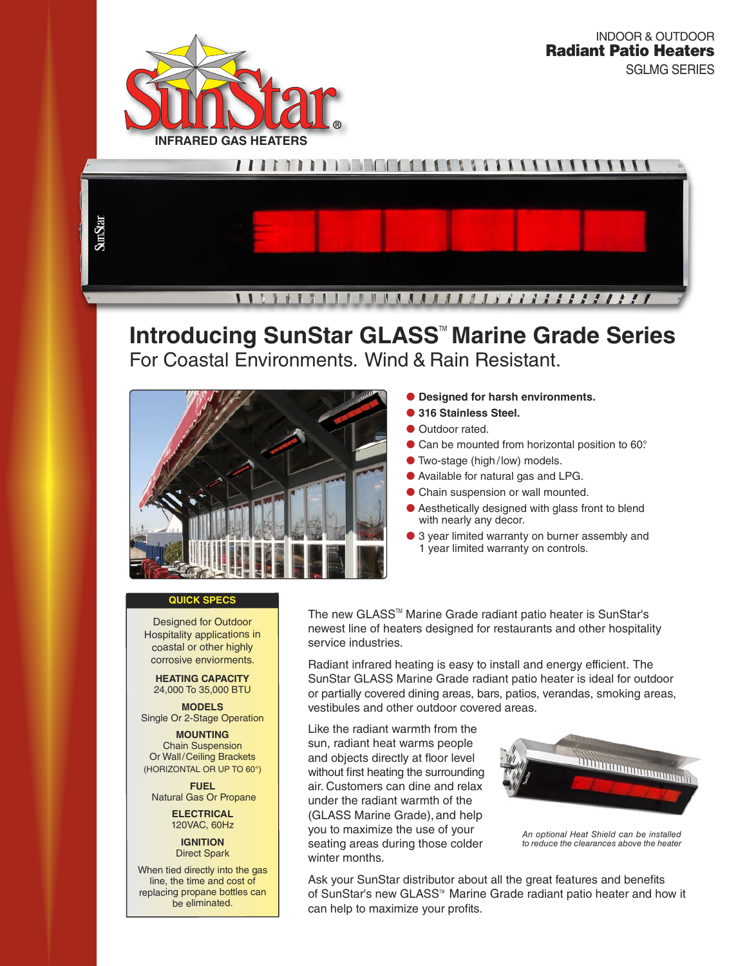



# **Introducing SunStar GLASS<sup>™</sup> Marine Grade Series** For Coastal Environments. Wind & Rain Resistant.



# **Designed for harsh environments.**

- **316 Stainless Steel.**
- **Outdoor rated.**
- Can be mounted from horizontal position to 60°.
- Two-stage (high/low) models.
- Available for natural gas and LPG.
- Chain suspension or wall mounted.
- Aesthetically designed with glass front to blend with nearly any decor.
- 3 year limited warranty on burner assembly and 1 year limited warranty on controls.

# **QUICK SPECS**

Designed for Outdoor Hospitality applications in coastal or other highly corrosive enviorments.

**HEATING CAPACITY**  24,000 To 35,000 BTU

**MODELS**  Single Or 2-Stage Operation

**MOUNTING**  Chain Suspension Or Wall/Ceiling Brackets (HORIZONTAL OR UP TO 60°)

**FUEL**  Natural Gas Or Propane

> **ELECTRICAL**  120VAC, 60Hz

**IGNITION**  Direct Spark

When tied directly into the gas line, the time and cost of replacing propane bottles can be eliminated.

The new GLASS™ Marine Grade radiant patio heater is SunStar's newest line of heaters designed for restaurants and other hospitality service industries.

Radiant infrared heating is easy to install and energy efficient. The SunStar GLASS Marine Grade radiant patio heater is ideal for outdoor or partially covered dining areas, bars, patios, verandas, smoking areas, vestibules and other outdoor covered areas.

Like the radiant warmth from the sun, radiant heat warms people and objects directly at floor level without first heating the surrounding air. Customers can dine and relax under the radiant warmth of the (GLASS Marine Grade), and help you to maximize the use of your seating areas during those colder winter months.



An optional Heat Shield can be installed to reduce the clearances above the heater

Ask your SunStar distributor about all the great features and benefits of SunStar's new GLASS<sup>™</sup> Marine Grade radiant patio heater and how it can help to maximize your profits.